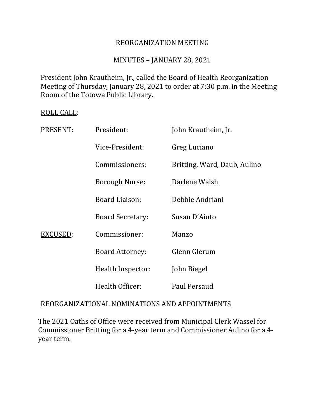## REORGANIZATION MEETING

## MINUTES – JANUARY 28, 2021

President John Krautheim, Jr., called the Board of Health Reorganization Meeting of Thursday, January 28, 2021 to order at 7:30 p.m. in the Meeting Room of the Totowa Public Library.

#### ROLL CALL:

| PRESENT: | President:              | John Krautheim, Jr.          |
|----------|-------------------------|------------------------------|
|          | Vice-President:         | Greg Luciano                 |
|          | Commissioners:          | Britting, Ward, Daub, Aulino |
|          | <b>Borough Nurse:</b>   | Darlene Walsh                |
|          | Board Liaison:          | Debbie Andriani              |
|          | <b>Board Secretary:</b> | Susan D'Aiuto                |
| EXCUSED: | Commissioner:           | Manzo                        |
|          | <b>Board Attorney:</b>  | Glenn Glerum                 |
|          | Health Inspector:       | John Biegel                  |
|          | Health Officer:         | Paul Persaud                 |

## REORGANIZATIONAL NOMINATIONS AND APPOINTMENTS

The 2021 Oaths of Office were received from Municipal Clerk Wassel for Commissioner Britting for a 4-year term and Commissioner Aulino for a 4 year term.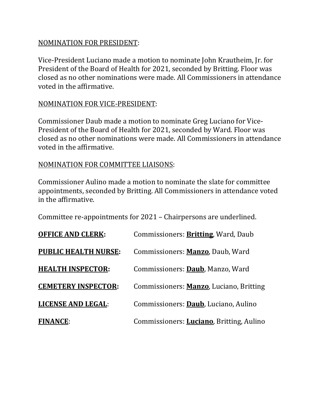## NOMINATION FOR PRESIDENT:

Vice-President Luciano made a motion to nominate John Krautheim, Jr. for President of the Board of Health for 2021, seconded by Britting. Floor was closed as no other nominations were made. All Commissioners in attendance voted in the affirmative.

## NOMINATION FOR VICE-PRESIDENT:

Commissioner Daub made a motion to nominate Greg Luciano for Vice-President of the Board of Health for 2021, seconded by Ward. Floor was closed as no other nominations were made. All Commissioners in attendance voted in the affirmative.

## NOMINATION FOR COMMITTEE LIAISONS:

Commissioner Aulino made a motion to nominate the slate for committee appointments, seconded by Britting. All Commissioners in attendance voted in the affirmative.

Committee re-appointments for 2021 – Chairpersons are underlined.

| <b>OFFICE AND CLERK:</b>    | Commissioners: <b>Britting</b> , Ward, Daub      |
|-----------------------------|--------------------------------------------------|
| <b>PUBLIC HEALTH NURSE:</b> | Commissioners: Manzo, Daub, Ward                 |
| <b>HEALTH INSPECTOR:</b>    | Commissioners: Daub, Manzo, Ward                 |
| <b>CEMETERY INSPECTOR:</b>  | Commissioners: Manzo, Luciano, Britting          |
| <b>LICENSE AND LEGAL:</b>   | Commissioners: Daub, Luciano, Aulino             |
| <b>FINANCE:</b>             | Commissioners: <b>Luciano</b> , Britting, Aulino |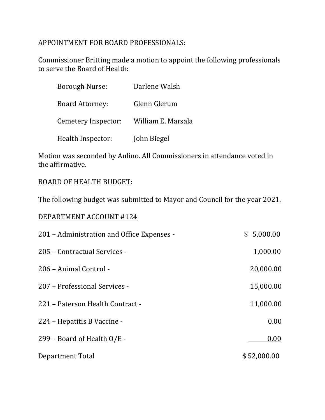# APPOINTMENT FOR BOARD PROFESSIONALS:

Commissioner Britting made a motion to appoint the following professionals to serve the Board of Health:

| Borough Nurse:         | Darlene Walsh      |
|------------------------|--------------------|
| <b>Board Attorney:</b> | Glenn Glerum       |
| Cemetery Inspector:    | William E. Marsala |
| Health Inspector:      | John Biegel        |

Motion was seconded by Aulino. All Commissioners in attendance voted in the affirmative.

## BOARD OF HEALTH BUDGET:

The following budget was submitted to Mayor and Council for the year 2021.

## DEPARTMENT ACCOUNT #124

| 201 – Administration and Office Expenses - | \$5,000.00  |
|--------------------------------------------|-------------|
| 205 - Contractual Services -               | 1,000.00    |
| 206 - Animal Control -                     | 20,000.00   |
| 207 – Professional Services -              | 15,000.00   |
| 221 - Paterson Health Contract -           | 11,000.00   |
| 224 - Hepatitis B Vaccine -                | 0.00        |
| 299 – Board of Health O/E -                | 0.00        |
| Department Total                           | \$52,000.00 |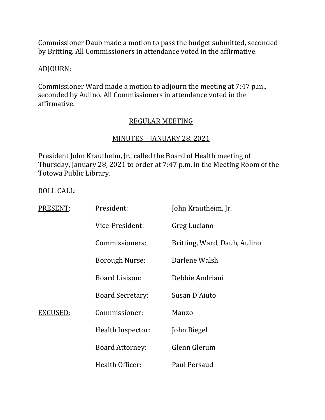Commissioner Daub made a motion to pass the budget submitted, seconded by Britting. All Commissioners in attendance voted in the affirmative.

## ADJOURN:

Commissioner Ward made a motion to adjourn the meeting at 7:47 p.m., seconded by Aulino. All Commissioners in attendance voted in the affirmative.

# REGULAR MEETING

## MINUTES – JANUARY 28, 2021

President John Krautheim, Jr., called the Board of Health meeting of Thursday, January 28, 2021 to order at 7:47 p.m. in the Meeting Room of the Totowa Public Library.

## ROLL CALL:

| PRESENT: | President:              | John Krautheim, Jr.          |
|----------|-------------------------|------------------------------|
|          | Vice-President:         | Greg Luciano                 |
|          | Commissioners:          | Britting, Ward, Daub, Aulino |
|          | <b>Borough Nurse:</b>   | Darlene Walsh                |
|          | Board Liaison:          | Debbie Andriani              |
|          | <b>Board Secretary:</b> | Susan D'Aiuto                |
| EXCUSED: | Commissioner:           | Manzo                        |
|          | Health Inspector:       | John Biegel                  |
|          | <b>Board Attorney:</b>  | Glenn Glerum                 |
|          | Health Officer:         | Paul Persaud                 |